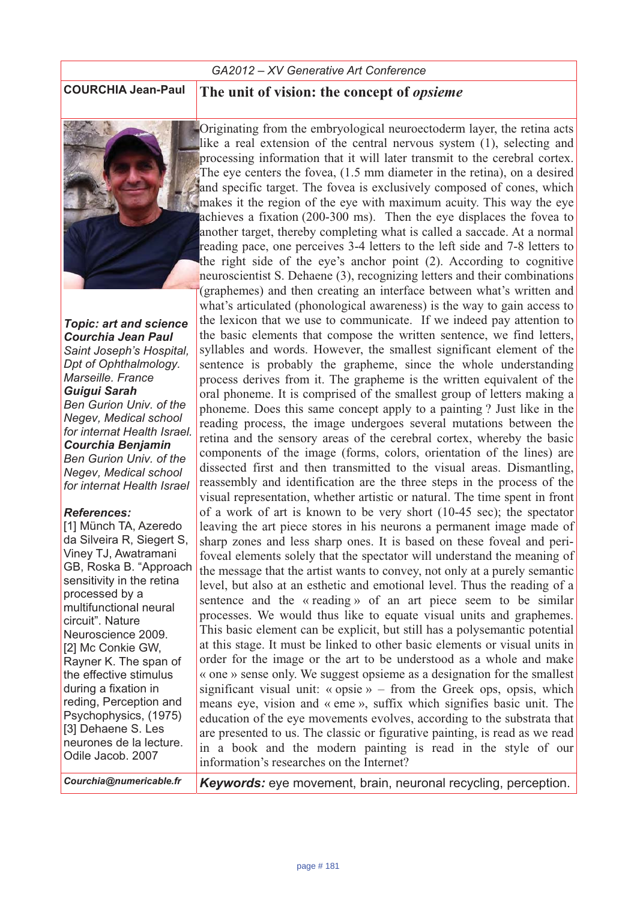# *GA2012 – XV Generative Art Conference*



*<i>Topic: art and science* **Courchia Jean Paul** *Saint Joseph's Hospital, Dpt of Ophthalmology. Marseille. France*  **Guigui Sarah** *Ben Gurion Univ. of the Negev, Medical school for internat Health Israel.* **Courchia Benjamin** *Ben Gurion Univ. of the Negev, Medical school for internat Health Israel* 

### $References$

[1] Münch TA, Azeredo da Silveira R, Siegert S, Viney TJ, Awatramani GB, Roska B. "Approach sensitivity in the retina processed by a multifunctional neural circuit". Nature Neuroscience 2009. [2] Mc Conkie GW, Rayner K. The span of the effective stimulus during a fixation in reding, Perception and Psychophysics, (1975) [3] Dehaene S. Les neurones de la lecture. Odile Jacob. 2007

**COURCHIA Jean-Paul The unit of vision: the concept of** *opsieme*

Originating from the embryological neuroectoderm layer, the retina acts like a real extension of the central nervous system (1), selecting and processing information that it will later transmit to the cerebral cortex. The eye centers the fovea, (1.5 mm diameter in the retina), on a desired and specific target. The fovea is exclusively composed of cones, which makes it the region of the eye with maximum acuity. This way the eye achieves a fixation (200-300 ms). Then the eye displaces the fovea to another target, thereby completing what is called a saccade. At a normal reading pace, one perceives 3-4 letters to the left side and 7-8 letters to the right side of the eye's anchor point (2). According to cognitive neuroscientist S. Dehaene (3), recognizing letters and their combinations (graphemes) and then creating an interface between what's written and what's articulated (phonological awareness) is the way to gain access to the lexicon that we use to communicate. If we indeed pay attention to the basic elements that compose the written sentence, we find letters, syllables and words. However, the smallest significant element of the sentence is probably the grapheme, since the whole understanding process derives from it. The grapheme is the written equivalent of the oral phoneme. It is comprised of the smallest group of letters making a phoneme. Does this same concept apply to a painting ? Just like in the reading process, the image undergoes several mutations between the retina and the sensory areas of the cerebral cortex, whereby the basic components of the image (forms, colors, orientation of the lines) are dissected first and then transmitted to the visual areas. Dismantling, reassembly and identification are the three steps in the process of the visual representation, whether artistic or natural. The time spent in front of a work of art is known to be very short (10-45 sec); the spectator leaving the art piece stores in his neurons a permanent image made of sharp zones and less sharp ones. It is based on these foveal and perifoveal elements solely that the spectator will understand the meaning of the message that the artist wants to convey, not only at a purely semantic level, but also at an esthetic and emotional level. Thus the reading of a sentence and the « reading » of an art piece seem to be similar processes. We would thus like to equate visual units and graphemes. This basic element can be explicit, but still has a polysemantic potential at this stage. It must be linked to other basic elements or visual units in order for the image or the art to be understood as a whole and make « one » sense only. We suggest opsieme as a designation for the smallest significant visual unit: « opsie » – from the Greek ops, opsis, which means eye, vision and « eme », suffix which signifies basic unit. The education of the eye movements evolves, according to the substrata that are presented to us. The classic or figurative painting, is read as we read in a book and the modern painting is read in the style of our information's researches on the Internet?

*Courchia@numericable.fr Keywords:* eye movement, brain, neuronal recycling, perception.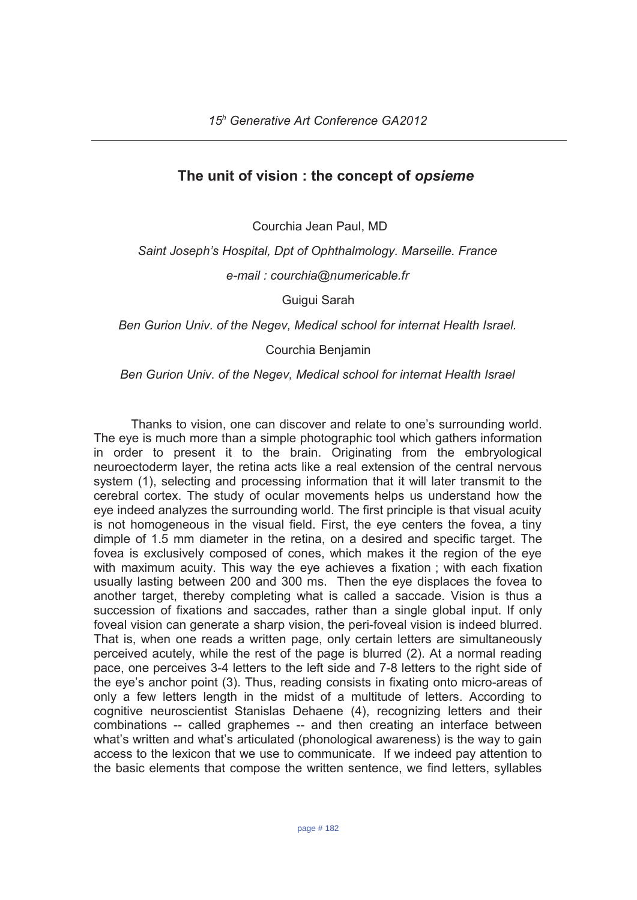# The unit of vision : the concept of opsieme

Courchia Jean Paul, MD

Saint Joseph's Hospital, Dpt of Ophthalmology. Marseille. France e-mail: courchia@numericable.fr

Guigui Sarah

Ben Gurion Univ. of the Negev, Medical school for internat Health Israel.

Courchia Benjamin

Ben Gurion Univ. of the Negev, Medical school for internat Health Israel

Thanks to vision, one can discover and relate to one's surrounding world. The eye is much more than a simple photographic tool which gathers information in order to present it to the brain. Originating from the embryological neuroectoderm laver, the retina acts like a real extension of the central nervous system (1), selecting and processing information that it will later transmit to the cerebral cortex. The study of ocular movements helps us understand how the eye indeed analyzes the surrounding world. The first principle is that visual acuity is not homogeneous in the visual field. First, the eye centers the fovea, a tiny dimple of 1.5 mm diameter in the retina, on a desired and specific target. The fovea is exclusively composed of cones, which makes it the region of the eye with maximum acuity. This way the eye achieves a fixation; with each fixation usually lasting between 200 and 300 ms. Then the eye displaces the fovea to another target, thereby completing what is called a saccade. Vision is thus a succession of fixations and saccades, rather than a single global input. If only foveal vision can generate a sharp vision, the peri-foveal vision is indeed blurred. That is, when one reads a written page, only certain letters are simultaneously perceived acutely, while the rest of the page is blurred (2). At a normal reading pace, one perceives 3-4 letters to the left side and 7-8 letters to the right side of the eye's anchor point (3). Thus, reading consists in fixating onto micro-areas of only a few letters length in the midst of a multitude of letters. According to cognitive neuroscientist Stanislas Dehaene (4), recognizing letters and their combinations -- called graphemes -- and then creating an interface between what's written and what's articulated (phonological awareness) is the way to gain access to the lexicon that we use to communicate. If we indeed pay attention to the basic elements that compose the written sentence, we find letters, syllables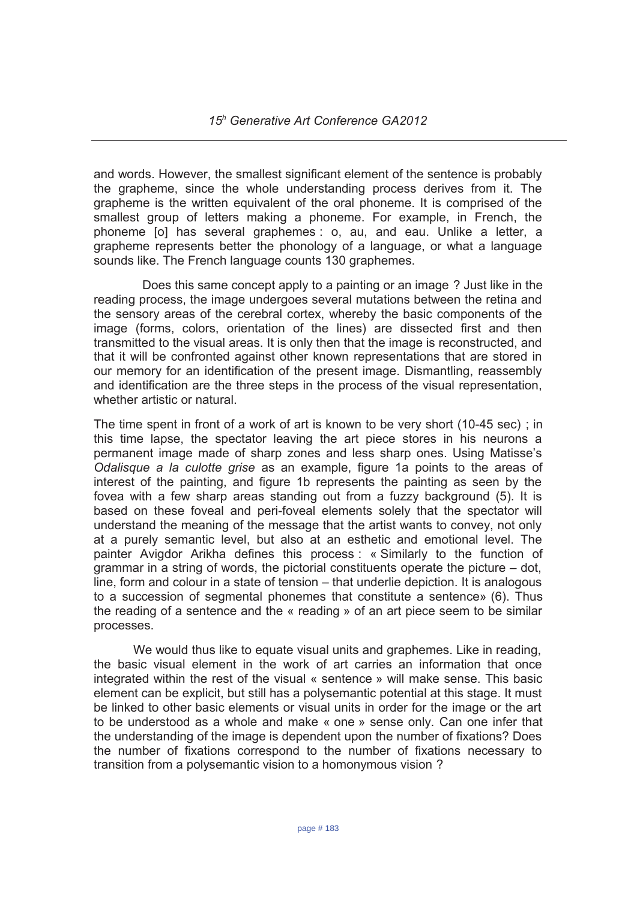and words. However, the smallest significant element of the sentence is probably the grapheme, since the whole understanding process derives from it. The grapheme is the written equivalent of the oral phoneme. It is comprised of the smallest group of letters making a phoneme. For example, in French, the phoneme [o] has several graphemes : o, au, and eau. Unlike a letter, a grapheme represents better the phonology of a language, or what a language sounds like. The French language counts 130 graphemes.

Does this same concept apply to a painting or an image ? Just like in the reading process, the image undergoes several mutations between the retina and the sensory areas of the cerebral cortex, whereby the basic components of the image (forms, colors, orientation of the lines) are dissected first and then transmitted to the visual areas. It is only then that the image is reconstructed, and that it will be confronted against other known representations that are stored in our memory for an identification of the present image. Dismantling, reassembly and identification are the three steps in the process of the visual representation, whether artistic or natural.

The time spent in front of a work of art is known to be very short (10-45 sec); in this time lapse, the spectator leaving the art piece stores in his neurons a permanent image made of sharp zones and less sharp ones. Using Matisse's Odalisque a la culotte grise as an example, figure 1a points to the areas of interest of the painting, and figure 1b represents the painting as seen by the fovea with a few sharp areas standing out from a fuzzy background (5). It is based on these foveal and peri-foveal elements solely that the spectator will understand the meaning of the message that the artist wants to convey, not only at a purely semantic level, but also at an esthetic and emotional level. The painter Avigdor Arikha defines this process: « Similarly to the function of grammar in a string of words, the pictorial constituents operate the picture – dot, line, form and colour in a state of tension – that underlie depiction. It is analogous to a succession of segmental phonemes that constitute a sentence» (6). Thus the reading of a sentence and the « reading » of an art piece seem to be similar processes.

We would thus like to equate visual units and graphemes. Like in reading, the basic visual element in the work of art carries an information that once integrated within the rest of the visual « sentence » will make sense. This basic element can be explicit, but still has a polysemantic potential at this stage. It must be linked to other basic elements or visual units in order for the image or the art to be understood as a whole and make « one » sense only. Can one infer that the understanding of the image is dependent upon the number of fixations? Does the number of fixations correspond to the number of fixations necessary to transition from a polysemantic vision to a homonymous vision?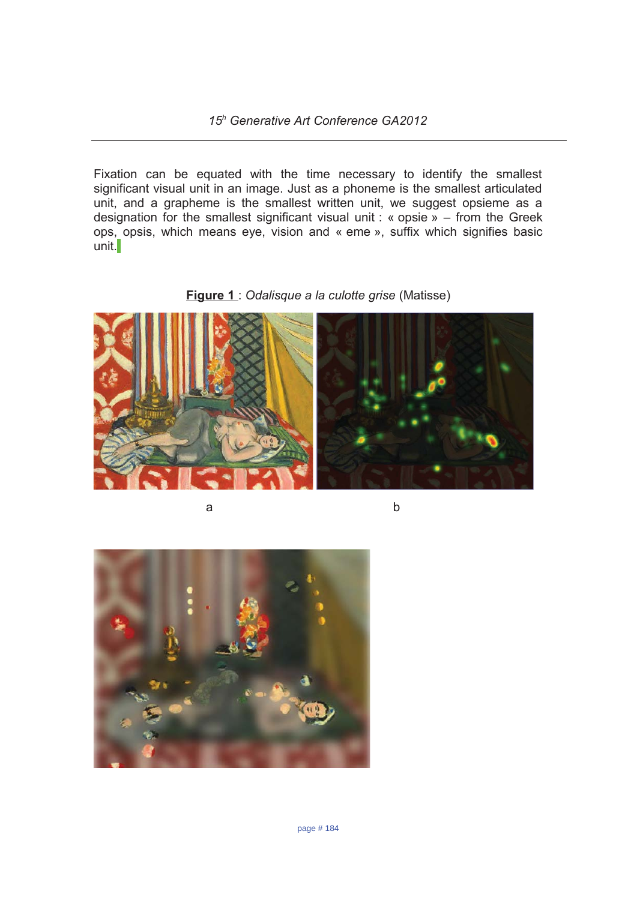Fixation can be equated with the time necessary to identify the smallest significant visual unit in an image. Just as a phoneme is the smallest articulated unit, and a grapheme is the smallest written unit, we suggest opsieme as a designation for the smallest significant visual unit: « opsie » – from the Greek ops, opsis, which means eye, vision and « eme », suffix which signifies basic  $unit.$ 





a

 $\mathsf{b}$